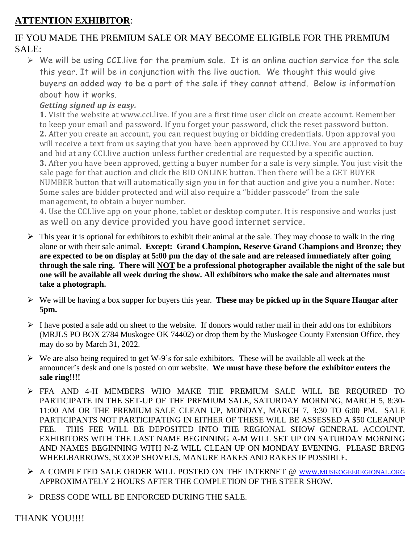## **ATTENTION EXHIBITOR**:

## IF YOU MADE THE PREMIUM SALE OR MAY BECOME ELIGIBLE FOR THE PREMIUM SALE:

 $\triangleright$  We will be using CCI. live for the premium sale. It is an online auction service for the sale this year. It will be in conjunction with the live auction. We thought this would give buyers an added way to be a part of the sale if they cannot attend. Below is information about how it works.

## *Getting signed up is easy.*

**1.** Visit the website at www.cci.live. If you are a first time user click on create account. Remember to keep your email and password. If you forget your password, click the reset password button. **2.** After you create an account, you can request buying or bidding credentials. Upon approval you will receive a text from us saying that you have been approved by CCI.live. You are approved to buy and bid at any CCI.live auction unless further credential are requested by a specific auction. **3.** After you have been approved, getting a buyer number for a sale is very simple. You just visit the sale page for that auction and click the BID ONLINE button. Then there will be a GET BUYER NUMBER button that will automatically sign you in for that auction and give you a number. Note: Some sales are bidder protected and will also require a "bidder passcode" from the sale management, to obtain a buyer number.

**4.** Use the CCI.live app on your phone, tablet or desktop computer. It is responsive and works just as well on any device provided you have good internet service.

- $\triangleright$  This year it is optional for exhibitors to exhibit their animal at the sale. They may choose to walk in the ring alone or with their sale animal. **Except: Grand Champion, Reserve Grand Champions and Bronze; they are expected to be on display at 5:00 pm the day of the sale and are released immediately after going through the sale ring. There will NOT be a professional photographer available the night of the sale but one will be available all week during the show. All exhibitors who make the sale and alternates must take a photograph.**
- ➢ We will be having a box supper for buyers this year. **These may be picked up in the Square Hangar after 5pm.**
- ➢ I have posted a sale add on sheet to the website. If donors would rather mail in their add ons for exhibitors (MRJLS PO BOX 2784 Muskogee OK 74402) or drop them by the Muskogee County Extension Office, they may do so by March 31, 2022.
- $\triangleright$  We are also being required to get W-9's for sale exhibitors. These will be available all week at the announcer's desk and one is posted on our website. **We must have these before the exhibitor enters the sale ring!!!!**
- ➢ FFA AND 4-H MEMBERS WHO MAKE THE PREMIUM SALE WILL BE REQUIRED TO PARTICIPATE IN THE SET-UP OF THE PREMIUM SALE, SATURDAY MORNING, MARCH 5, 8:30- 11:00 AM OR THE PREMIUM SALE CLEAN UP, MONDAY, MARCH 7, 3:30 TO 6:00 PM. SALE PARTICIPANTS NOT PARTICIPATING IN EITHER OF THESE WILL BE ASSESSED A \$50 CLEANUP FEE. THIS FEE WILL BE DEPOSITED INTO THE REGIONAL SHOW GENERAL ACCOUNT. EXHIBITORS WITH THE LAST NAME BEGINNING A-M WILL SET UP ON SATURDAY MORNING AND NAMES BEGINNING WITH N-Z WILL CLEAN UP ON MONDAY EVENING. PLEASE BRING WHEELBARROWS, SCOOP SHOVELS, MANURE RAKES AND RAKES IF POSSIBLE.
- ➢ A COMPLETED SALE ORDER WILL POSTED ON THE INTERNET @ WWW.[MUSKOGEEREGIONAL](http://www.muskogeeregional.org/).ORG APPROXIMATELY 2 HOURS AFTER THE COMPLETION OF THE STEER SHOW.
- ➢ DRESS CODE WILL BE ENFORCED DURING THE SALE.